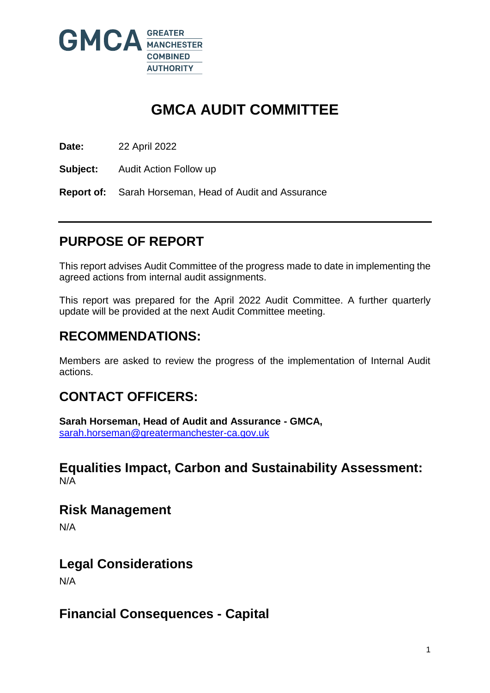

# **GMCA AUDIT COMMITTEE**

**Date:** 22 April 2022

**Subject:** Audit Action Follow up

**Report of:** Sarah Horseman, Head of Audit and Assurance

# **PURPOSE OF REPORT**

This report advises Audit Committee of the progress made to date in implementing the agreed actions from internal audit assignments.

This report was prepared for the April 2022 Audit Committee. A further quarterly update will be provided at the next Audit Committee meeting.

## **RECOMMENDATIONS:**

Members are asked to review the progress of the implementation of Internal Audit actions.

## **CONTACT OFFICERS:**

**Sarah Horseman, Head of Audit and Assurance - GMCA,**  [sarah.horseman@greatermanchester-ca.gov.uk](mailto:sarah.horseman@greatermanchester-ca.gov.uk)

### **Equalities Impact, Carbon and Sustainability Assessment:** N/A

**Risk Management** 

N/A

## **Legal Considerations**

N/A

**Financial Consequences - Capital**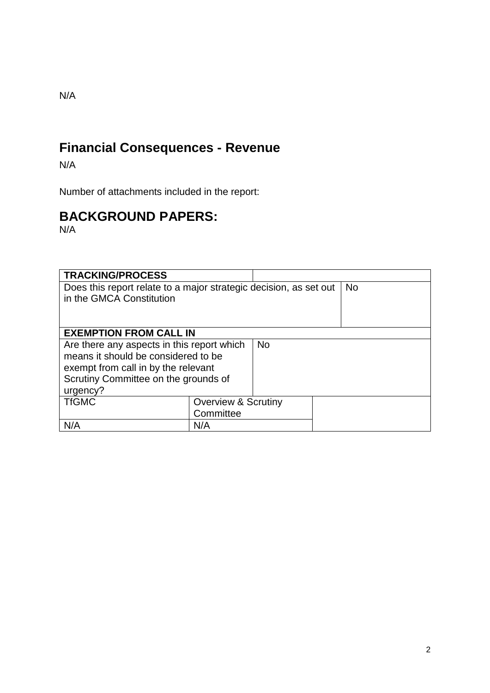### N/A

# **Financial Consequences - Revenue**

N/A

Number of attachments included in the report:

# **BACKGROUND PAPERS:**

N/A

| <b>TRACKING/PROCESS</b>                                           |                                |  |           |
|-------------------------------------------------------------------|--------------------------------|--|-----------|
| Does this report relate to a major strategic decision, as set out |                                |  | <b>No</b> |
| in the GMCA Constitution                                          |                                |  |           |
|                                                                   |                                |  |           |
|                                                                   |                                |  |           |
| <b>EXEMPTION FROM CALL IN</b>                                     |                                |  |           |
| Are there any aspects in this report which                        |                                |  |           |
| means it should be considered to be                               |                                |  |           |
| exempt from call in by the relevant                               |                                |  |           |
| Scrutiny Committee on the grounds of                              |                                |  |           |
| urgency?                                                          |                                |  |           |
| <b>TfGMC</b>                                                      | <b>Overview &amp; Scrutiny</b> |  |           |
|                                                                   | Committee                      |  |           |
| N/A                                                               | N/A                            |  |           |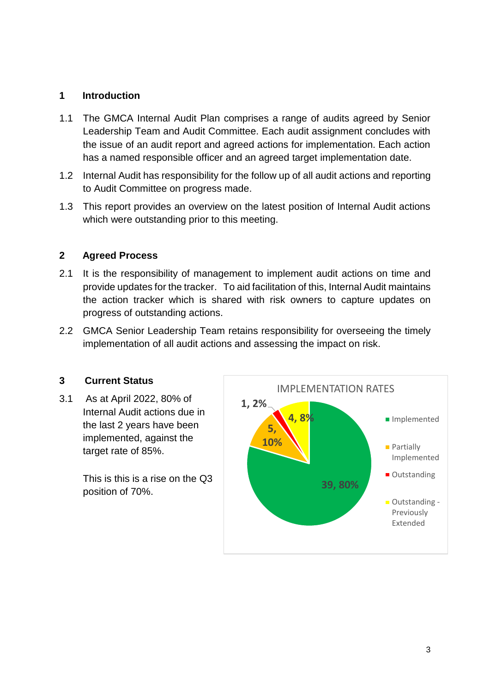### **1 Introduction**

- 1.1 The GMCA Internal Audit Plan comprises a range of audits agreed by Senior Leadership Team and Audit Committee. Each audit assignment concludes with the issue of an audit report and agreed actions for implementation. Each action has a named responsible officer and an agreed target implementation date.
- 1.2 Internal Audit has responsibility for the follow up of all audit actions and reporting to Audit Committee on progress made.
- 1.3 This report provides an overview on the latest position of Internal Audit actions which were outstanding prior to this meeting.

### **2 Agreed Process**

- 2.1 It is the responsibility of management to implement audit actions on time and provide updates for the tracker. To aid facilitation of this, Internal Audit maintains the action tracker which is shared with risk owners to capture updates on progress of outstanding actions.
- 2.2 GMCA Senior Leadership Team retains responsibility for overseeing the timely implementation of all audit actions and assessing the impact on risk.

### **3 Current Status**

3.1 As at April 2022, 80% of Internal Audit actions due in the last 2 years have been implemented, against the target rate of 85%.

> This is this is a rise on the Q3 position of 70%.

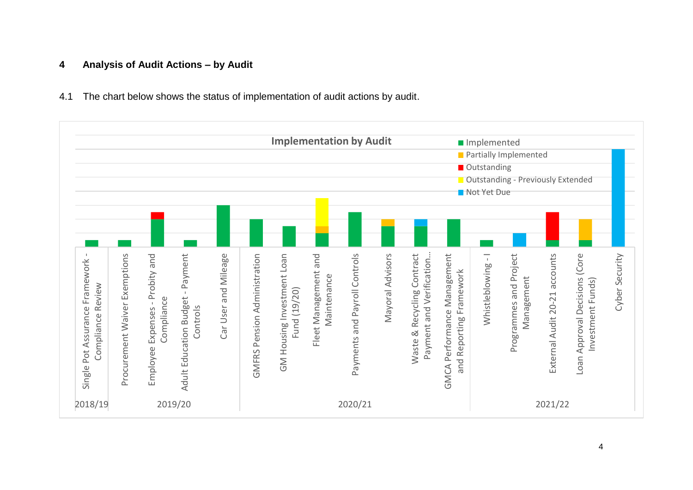### **4 Analysis of Audit Actions – by Audit**

4.1 The chart below shows the status of implementation of audit actions by audit.

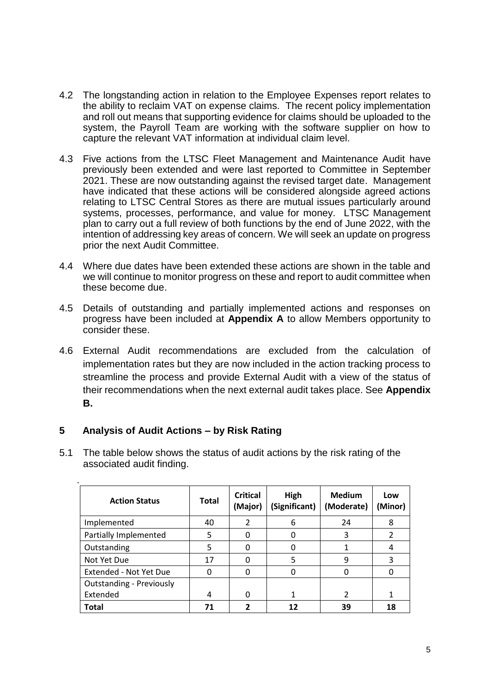- 4.2 The longstanding action in relation to the Employee Expenses report relates to the ability to reclaim VAT on expense claims. The recent policy implementation and roll out means that supporting evidence for claims should be uploaded to the system, the Payroll Team are working with the software supplier on how to capture the relevant VAT information at individual claim level.
- 4.3 Five actions from the LTSC Fleet Management and Maintenance Audit have previously been extended and were last reported to Committee in September 2021. These are now outstanding against the revised target date. Management have indicated that these actions will be considered alongside agreed actions relating to LTSC Central Stores as there are mutual issues particularly around systems, processes, performance, and value for money. LTSC Management plan to carry out a full review of both functions by the end of June 2022, with the intention of addressing key areas of concern. We will seek an update on progress prior the next Audit Committee.
- 4.4 Where due dates have been extended these actions are shown in the table and we will continue to monitor progress on these and report to audit committee when these become due.
- 4.5 Details of outstanding and partially implemented actions and responses on progress have been included at **Appendix A** to allow Members opportunity to consider these.
- 4.6 External Audit recommendations are excluded from the calculation of implementation rates but they are now included in the action tracking process to streamline the process and provide External Audit with a view of the status of their recommendations when the next external audit takes place. See **Appendix B.**

### **5 Analysis of Audit Actions – by Risk Rating**

.

5.1 The table below shows the status of audit actions by the risk rating of the associated audit finding.

| <b>Action Status</b>            | <b>Total</b> | <b>Critical</b><br>(Major) | High<br>(Significant) | <b>Medium</b><br>(Moderate) | Low<br>(Minor) |
|---------------------------------|--------------|----------------------------|-----------------------|-----------------------------|----------------|
| Implemented                     | 40           | $\mathcal{P}$              | 6                     | 24                          | 8              |
| Partially Implemented           | 5            | O                          | Ω                     | 3                           |                |
| Outstanding                     |              | O                          | 0                     |                             |                |
| Not Yet Due                     | 17           | O                          | 5                     | 9                           | 3              |
| Extended - Not Yet Due          | n            | O                          | 0                     | 0                           |                |
| <b>Outstanding - Previously</b> |              |                            |                       |                             |                |
| Extended                        | 4            | O                          | 1                     | $\overline{2}$              |                |
| <b>Total</b>                    |              | 2                          | 12                    | 39                          | 18             |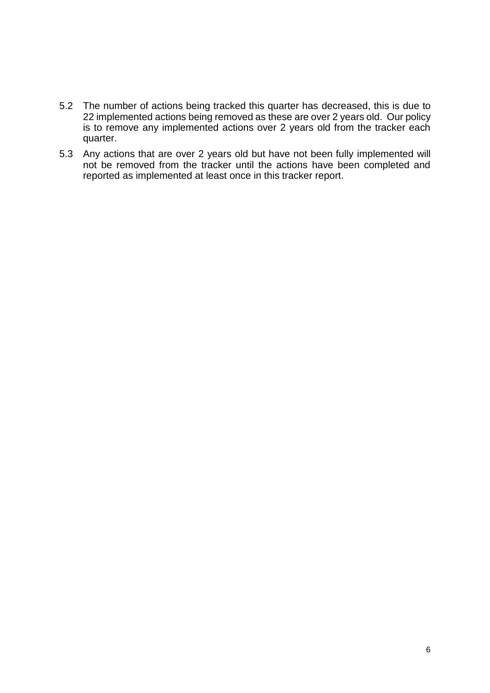- 5.2 The number of actions being tracked this quarter has decreased, this is due to 22 implemented actions being removed as these are over 2 years old. Our policy is to remove any implemented actions over 2 years old from the tracker each quarter.
- 5.3 Any actions that are over 2 years old but have not been fully implemented will not be removed from the tracker until the actions have been completed and reported as implemented at least once in this tracker report.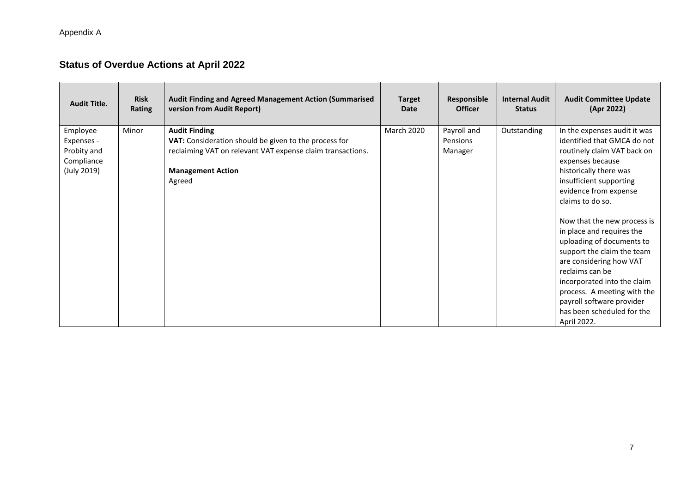Appendix A

### **Status of Overdue Actions at April 2022**

| <b>Audit Title.</b> | <b>Risk</b><br>Rating | Audit Finding and Agreed Management Action (Summarised<br>version from Audit Report) | <b>Target</b><br><b>Date</b> | Responsible<br><b>Officer</b> | <b>Internal Audit</b><br><b>Status</b> | <b>Audit Committee Update</b><br>(Apr 2022) |
|---------------------|-----------------------|--------------------------------------------------------------------------------------|------------------------------|-------------------------------|----------------------------------------|---------------------------------------------|
| Employee            | Minor                 | <b>Audit Finding</b>                                                                 | <b>March 2020</b>            | Payroll and                   | Outstanding                            | In the expenses audit it was                |
| Expenses -          |                       | VAT: Consideration should be given to the process for                                |                              | Pensions                      |                                        | identified that GMCA do not                 |
| Probity and         |                       | reclaiming VAT on relevant VAT expense claim transactions.                           |                              | Manager                       |                                        | routinely claim VAT back on                 |
| Compliance          |                       |                                                                                      |                              |                               |                                        | expenses because                            |
| (July 2019)         |                       | <b>Management Action</b>                                                             |                              |                               |                                        | historically there was                      |
|                     |                       | Agreed                                                                               |                              |                               |                                        | insufficient supporting                     |
|                     |                       |                                                                                      |                              |                               |                                        | evidence from expense                       |
|                     |                       |                                                                                      |                              |                               |                                        | claims to do so.                            |
|                     |                       |                                                                                      |                              |                               |                                        |                                             |
|                     |                       |                                                                                      |                              |                               |                                        | Now that the new process is                 |
|                     |                       |                                                                                      |                              |                               |                                        | in place and requires the                   |
|                     |                       |                                                                                      |                              |                               |                                        | uploading of documents to                   |
|                     |                       |                                                                                      |                              |                               |                                        | support the claim the team                  |
|                     |                       |                                                                                      |                              |                               |                                        | are considering how VAT                     |
|                     |                       |                                                                                      |                              |                               |                                        | reclaims can be                             |
|                     |                       |                                                                                      |                              |                               |                                        | incorporated into the claim                 |
|                     |                       |                                                                                      |                              |                               |                                        | process. A meeting with the                 |
|                     |                       |                                                                                      |                              |                               |                                        | payroll software provider                   |
|                     |                       |                                                                                      |                              |                               |                                        | has been scheduled for the                  |
|                     |                       |                                                                                      |                              |                               |                                        | April 2022.                                 |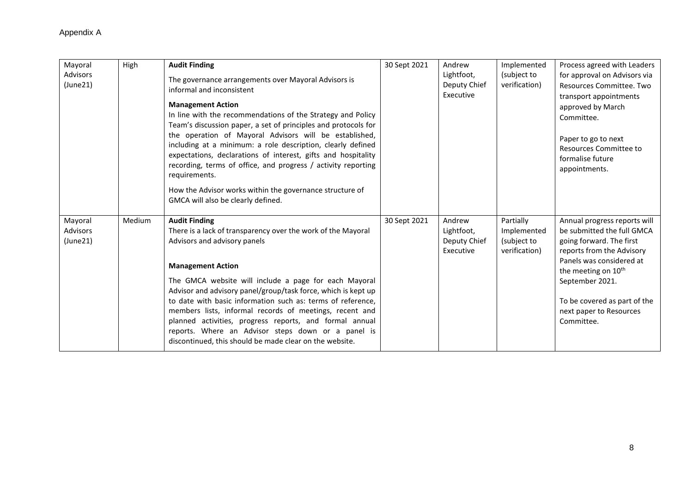| Mayoral<br>Advisors<br>(June21) | High   | <b>Audit Finding</b><br>The governance arrangements over Mayoral Advisors is<br>informal and inconsistent<br><b>Management Action</b><br>In line with the recommendations of the Strategy and Policy<br>Team's discussion paper, a set of principles and protocols for<br>the operation of Mayoral Advisors will be established,<br>including at a minimum: a role description, clearly defined<br>expectations, declarations of interest, gifts and hospitality<br>recording, terms of office, and progress / activity reporting<br>requirements.<br>How the Advisor works within the governance structure of<br>GMCA will also be clearly defined. | 30 Sept 2021 | Andrew<br>Lightfoot,<br>Deputy Chief<br>Executive | Implemented<br>(subject to<br>verification)              | Process agreed with Leaders<br>for approval on Advisors via<br>Resources Committee, Two<br>transport appointments<br>approved by March<br>Committee.<br>Paper to go to next<br>Resources Committee to<br>formalise future<br>appointments.                                     |
|---------------------------------|--------|------------------------------------------------------------------------------------------------------------------------------------------------------------------------------------------------------------------------------------------------------------------------------------------------------------------------------------------------------------------------------------------------------------------------------------------------------------------------------------------------------------------------------------------------------------------------------------------------------------------------------------------------------|--------------|---------------------------------------------------|----------------------------------------------------------|--------------------------------------------------------------------------------------------------------------------------------------------------------------------------------------------------------------------------------------------------------------------------------|
| Mayoral<br>Advisors<br>(June21) | Medium | <b>Audit Finding</b><br>There is a lack of transparency over the work of the Mayoral<br>Advisors and advisory panels<br><b>Management Action</b><br>The GMCA website will include a page for each Mayoral<br>Advisor and advisory panel/group/task force, which is kept up<br>to date with basic information such as: terms of reference,<br>members lists, informal records of meetings, recent and<br>planned activities, progress reports, and formal annual<br>reports. Where an Advisor steps down or a panel is<br>discontinued, this should be made clear on the website.                                                                     | 30 Sept 2021 | Andrew<br>Lightfoot,<br>Deputy Chief<br>Executive | Partially<br>Implemented<br>(subject to<br>verification) | Annual progress reports will<br>be submitted the full GMCA<br>going forward. The first<br>reports from the Advisory<br>Panels was considered at<br>the meeting on 10 <sup>th</sup><br>September 2021.<br>To be covered as part of the<br>next paper to Resources<br>Committee. |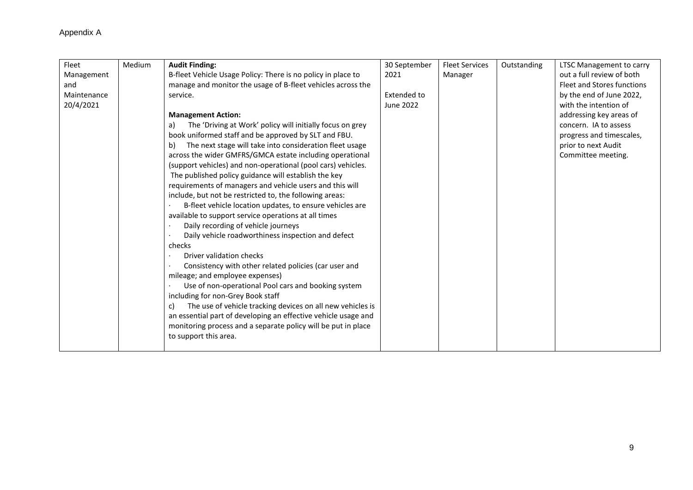| Fleet       | Medium | <b>Audit Finding:</b>                                            | 30 September       | <b>Fleet Services</b> | Outstanding | LTSC Management to carry   |
|-------------|--------|------------------------------------------------------------------|--------------------|-----------------------|-------------|----------------------------|
| Management  |        | B-fleet Vehicle Usage Policy: There is no policy in place to     | 2021               | Manager               |             | out a full review of both  |
| and         |        | manage and monitor the usage of B-fleet vehicles across the      |                    |                       |             | Fleet and Stores functions |
| Maintenance |        | service.                                                         | <b>Extended to</b> |                       |             | by the end of June 2022,   |
| 20/4/2021   |        |                                                                  | June 2022          |                       |             | with the intention of      |
|             |        | <b>Management Action:</b>                                        |                    |                       |             | addressing key areas of    |
|             |        | The 'Driving at Work' policy will initially focus on grey<br>a)  |                    |                       |             | concern. IA to assess      |
|             |        | book uniformed staff and be approved by SLT and FBU.             |                    |                       |             | progress and timescales,   |
|             |        | The next stage will take into consideration fleet usage<br>b)    |                    |                       |             | prior to next Audit        |
|             |        | across the wider GMFRS/GMCA estate including operational         |                    |                       |             | Committee meeting.         |
|             |        | (support vehicles) and non-operational (pool cars) vehicles.     |                    |                       |             |                            |
|             |        | The published policy guidance will establish the key             |                    |                       |             |                            |
|             |        | requirements of managers and vehicle users and this will         |                    |                       |             |                            |
|             |        | include, but not be restricted to, the following areas:          |                    |                       |             |                            |
|             |        | B-fleet vehicle location updates, to ensure vehicles are         |                    |                       |             |                            |
|             |        | available to support service operations at all times             |                    |                       |             |                            |
|             |        | Daily recording of vehicle journeys                              |                    |                       |             |                            |
|             |        | Daily vehicle roadworthiness inspection and defect               |                    |                       |             |                            |
|             |        | checks                                                           |                    |                       |             |                            |
|             |        | Driver validation checks                                         |                    |                       |             |                            |
|             |        | Consistency with other related policies (car user and            |                    |                       |             |                            |
|             |        | mileage; and employee expenses)                                  |                    |                       |             |                            |
|             |        | Use of non-operational Pool cars and booking system              |                    |                       |             |                            |
|             |        | including for non-Grey Book staff                                |                    |                       |             |                            |
|             |        | The use of vehicle tracking devices on all new vehicles is<br>C) |                    |                       |             |                            |
|             |        | an essential part of developing an effective vehicle usage and   |                    |                       |             |                            |
|             |        | monitoring process and a separate policy will be put in place    |                    |                       |             |                            |
|             |        | to support this area.                                            |                    |                       |             |                            |
|             |        |                                                                  |                    |                       |             |                            |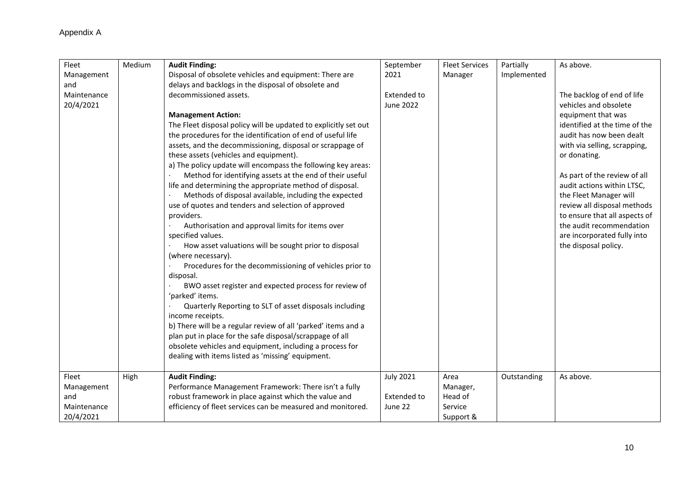| Fleet       | Medium | <b>Audit Finding:</b>                                           | September          | <b>Fleet Services</b> | Partially   | As above.                     |
|-------------|--------|-----------------------------------------------------------------|--------------------|-----------------------|-------------|-------------------------------|
| Management  |        | Disposal of obsolete vehicles and equipment: There are          | 2021               | Manager               | Implemented |                               |
| and         |        | delays and backlogs in the disposal of obsolete and             |                    |                       |             |                               |
| Maintenance |        | decommissioned assets.                                          | <b>Extended to</b> |                       |             | The backlog of end of life    |
| 20/4/2021   |        |                                                                 | <b>June 2022</b>   |                       |             | vehicles and obsolete         |
|             |        | <b>Management Action:</b>                                       |                    |                       |             | equipment that was            |
|             |        | The Fleet disposal policy will be updated to explicitly set out |                    |                       |             | identified at the time of the |
|             |        | the procedures for the identification of end of useful life     |                    |                       |             | audit has now been dealt      |
|             |        | assets, and the decommissioning, disposal or scrappage of       |                    |                       |             | with via selling, scrapping,  |
|             |        | these assets (vehicles and equipment).                          |                    |                       |             | or donating.                  |
|             |        | a) The policy update will encompass the following key areas:    |                    |                       |             |                               |
|             |        | Method for identifying assets at the end of their useful        |                    |                       |             | As part of the review of all  |
|             |        | life and determining the appropriate method of disposal.        |                    |                       |             | audit actions within LTSC,    |
|             |        | Methods of disposal available, including the expected           |                    |                       |             | the Fleet Manager will        |
|             |        | use of quotes and tenders and selection of approved             |                    |                       |             | review all disposal methods   |
|             |        | providers.                                                      |                    |                       |             | to ensure that all aspects of |
|             |        | Authorisation and approval limits for items over                |                    |                       |             | the audit recommendation      |
|             |        | specified values.                                               |                    |                       |             | are incorporated fully into   |
|             |        | How asset valuations will be sought prior to disposal           |                    |                       |             | the disposal policy.          |
|             |        | (where necessary).                                              |                    |                       |             |                               |
|             |        | Procedures for the decommissioning of vehicles prior to         |                    |                       |             |                               |
|             |        | disposal.                                                       |                    |                       |             |                               |
|             |        | BWO asset register and expected process for review of           |                    |                       |             |                               |
|             |        | 'parked' items.                                                 |                    |                       |             |                               |
|             |        | Quarterly Reporting to SLT of asset disposals including         |                    |                       |             |                               |
|             |        | income receipts.                                                |                    |                       |             |                               |
|             |        | b) There will be a regular review of all 'parked' items and a   |                    |                       |             |                               |
|             |        | plan put in place for the safe disposal/scrappage of all        |                    |                       |             |                               |
|             |        | obsolete vehicles and equipment, including a process for        |                    |                       |             |                               |
|             |        | dealing with items listed as 'missing' equipment.               |                    |                       |             |                               |
|             |        |                                                                 |                    |                       |             |                               |
| Fleet       | High   | <b>Audit Finding:</b>                                           | <b>July 2021</b>   | Area                  | Outstanding | As above.                     |
| Management  |        | Performance Management Framework: There isn't a fully           |                    | Manager,              |             |                               |
| and         |        | robust framework in place against which the value and           | <b>Extended to</b> | Head of               |             |                               |
| Maintenance |        | efficiency of fleet services can be measured and monitored.     | June 22            | Service               |             |                               |
| 20/4/2021   |        |                                                                 |                    | Support &             |             |                               |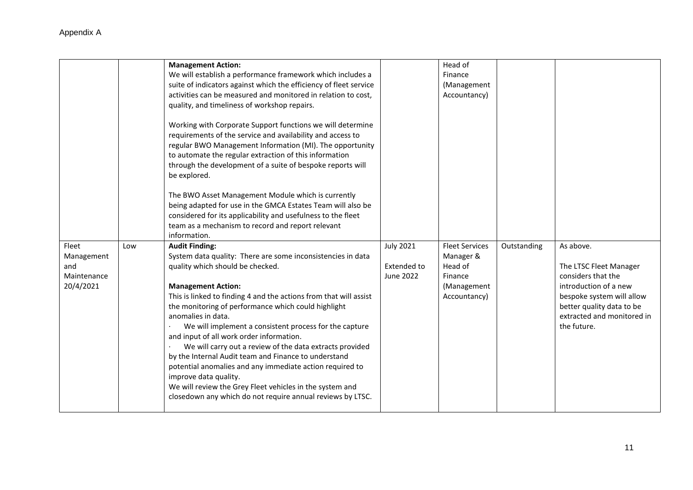|                                                        |     | <b>Management Action:</b><br>We will establish a performance framework which includes a<br>suite of indicators against which the efficiency of fleet service<br>activities can be measured and monitored in relation to cost,<br>quality, and timeliness of workshop repairs.<br>Working with Corporate Support functions we will determine<br>requirements of the service and availability and access to                                                                                                                                                                                                                                                                                                                                        |                                                     | Head of<br>Finance<br>(Management<br>Accountancy)                                       |             |                                                                                                                                                                                           |
|--------------------------------------------------------|-----|--------------------------------------------------------------------------------------------------------------------------------------------------------------------------------------------------------------------------------------------------------------------------------------------------------------------------------------------------------------------------------------------------------------------------------------------------------------------------------------------------------------------------------------------------------------------------------------------------------------------------------------------------------------------------------------------------------------------------------------------------|-----------------------------------------------------|-----------------------------------------------------------------------------------------|-------------|-------------------------------------------------------------------------------------------------------------------------------------------------------------------------------------------|
|                                                        |     | regular BWO Management Information (MI). The opportunity<br>to automate the regular extraction of this information<br>through the development of a suite of bespoke reports will<br>be explored.                                                                                                                                                                                                                                                                                                                                                                                                                                                                                                                                                 |                                                     |                                                                                         |             |                                                                                                                                                                                           |
|                                                        |     | The BWO Asset Management Module which is currently<br>being adapted for use in the GMCA Estates Team will also be<br>considered for its applicability and usefulness to the fleet<br>team as a mechanism to record and report relevant<br>information.                                                                                                                                                                                                                                                                                                                                                                                                                                                                                           |                                                     |                                                                                         |             |                                                                                                                                                                                           |
| Fleet<br>Management<br>and<br>Maintenance<br>20/4/2021 | Low | <b>Audit Finding:</b><br>System data quality: There are some inconsistencies in data<br>quality which should be checked.<br><b>Management Action:</b><br>This is linked to finding 4 and the actions from that will assist<br>the monitoring of performance which could highlight<br>anomalies in data.<br>We will implement a consistent process for the capture<br>and input of all work order information.<br>We will carry out a review of the data extracts provided<br>by the Internal Audit team and Finance to understand<br>potential anomalies and any immediate action required to<br>improve data quality.<br>We will review the Grey Fleet vehicles in the system and<br>closedown any which do not require annual reviews by LTSC. | <b>July 2021</b><br><b>Extended to</b><br>June 2022 | <b>Fleet Services</b><br>Manager &<br>Head of<br>Finance<br>(Management<br>Accountancy) | Outstanding | As above.<br>The LTSC Fleet Manager<br>considers that the<br>introduction of a new<br>bespoke system will allow<br>better quality data to be<br>extracted and monitored in<br>the future. |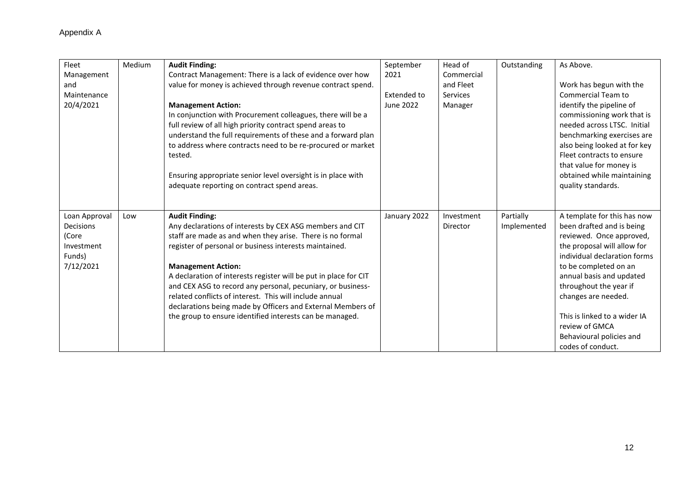| Fleet                                                                           | Medium | <b>Audit Finding:</b>                                                                                                                                                                                                                                                                                                                                                                                                                                                                                                                                          | September        | Head of                | Outstanding              | As Above.                                                                                                                                                                                                                                                                                                                                                    |
|---------------------------------------------------------------------------------|--------|----------------------------------------------------------------------------------------------------------------------------------------------------------------------------------------------------------------------------------------------------------------------------------------------------------------------------------------------------------------------------------------------------------------------------------------------------------------------------------------------------------------------------------------------------------------|------------------|------------------------|--------------------------|--------------------------------------------------------------------------------------------------------------------------------------------------------------------------------------------------------------------------------------------------------------------------------------------------------------------------------------------------------------|
| Management                                                                      |        | Contract Management: There is a lack of evidence over how                                                                                                                                                                                                                                                                                                                                                                                                                                                                                                      | 2021             | Commercial             |                          |                                                                                                                                                                                                                                                                                                                                                              |
| and                                                                             |        | value for money is achieved through revenue contract spend.                                                                                                                                                                                                                                                                                                                                                                                                                                                                                                    |                  | and Fleet              |                          | Work has begun with the                                                                                                                                                                                                                                                                                                                                      |
| Maintenance                                                                     |        |                                                                                                                                                                                                                                                                                                                                                                                                                                                                                                                                                                | Extended to      | <b>Services</b>        |                          | Commercial Team to                                                                                                                                                                                                                                                                                                                                           |
| 20/4/2021                                                                       |        | <b>Management Action:</b><br>In conjunction with Procurement colleagues, there will be a<br>full review of all high priority contract spend areas to<br>understand the full requirements of these and a forward plan<br>to address where contracts need to be re-procured or market<br>tested.<br>Ensuring appropriate senior level oversight is in place with<br>adequate reporting on contract spend areas.                                                                                                                                                  | <b>June 2022</b> | Manager                |                          | identify the pipeline of<br>commissioning work that is<br>needed across LTSC. Initial<br>benchmarking exercises are<br>also being looked at for key<br>Fleet contracts to ensure<br>that value for money is<br>obtained while maintaining<br>quality standards.                                                                                              |
| Loan Approval<br><b>Decisions</b><br>(Core<br>Investment<br>Funds)<br>7/12/2021 | Low    | <b>Audit Finding:</b><br>Any declarations of interests by CEX ASG members and CIT<br>staff are made as and when they arise. There is no formal<br>register of personal or business interests maintained.<br><b>Management Action:</b><br>A declaration of interests register will be put in place for CIT<br>and CEX ASG to record any personal, pecuniary, or business-<br>related conflicts of interest. This will include annual<br>declarations being made by Officers and External Members of<br>the group to ensure identified interests can be managed. | January 2022     | Investment<br>Director | Partially<br>Implemented | A template for this has now<br>been drafted and is being<br>reviewed. Once approved,<br>the proposal will allow for<br>individual declaration forms<br>to be completed on an<br>annual basis and updated<br>throughout the year if<br>changes are needed.<br>This is linked to a wider IA<br>review of GMCA<br>Behavioural policies and<br>codes of conduct. |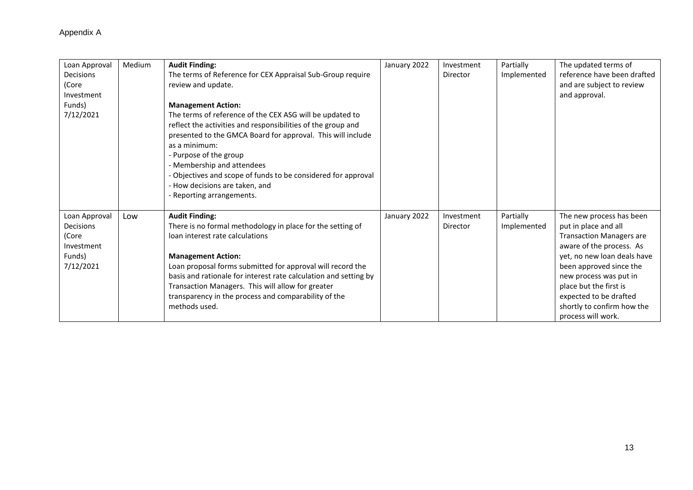| Loan Approval<br>Decisions<br>(Core<br>Investment<br>Funds)<br>7/12/2021 | Medium | <b>Audit Finding:</b><br>The terms of Reference for CEX Appraisal Sub-Group require<br>review and update.<br><b>Management Action:</b><br>The terms of reference of the CEX ASG will be updated to<br>reflect the activities and responsibilities of the group and<br>presented to the GMCA Board for approval. This will include<br>as a minimum:<br>- Purpose of the group                                        | January 2022 | Investment<br>Director | Partially<br>Implemented | The updated terms of<br>reference have been drafted<br>and are subject to review<br>and approval.                                                                                                                                                                                                           |
|--------------------------------------------------------------------------|--------|---------------------------------------------------------------------------------------------------------------------------------------------------------------------------------------------------------------------------------------------------------------------------------------------------------------------------------------------------------------------------------------------------------------------|--------------|------------------------|--------------------------|-------------------------------------------------------------------------------------------------------------------------------------------------------------------------------------------------------------------------------------------------------------------------------------------------------------|
|                                                                          |        | - Membership and attendees<br>- Objectives and scope of funds to be considered for approval<br>- How decisions are taken, and<br>- Reporting arrangements.                                                                                                                                                                                                                                                          |              |                        |                          |                                                                                                                                                                                                                                                                                                             |
| Loan Approval<br>Decisions<br>(Core<br>Investment<br>Funds)<br>7/12/2021 | Low    | <b>Audit Finding:</b><br>There is no formal methodology in place for the setting of<br>loan interest rate calculations<br><b>Management Action:</b><br>Loan proposal forms submitted for approval will record the<br>basis and rationale for interest rate calculation and setting by<br>Transaction Managers. This will allow for greater<br>transparency in the process and comparability of the<br>methods used. | January 2022 | Investment<br>Director | Partially<br>Implemented | The new process has been<br>put in place and all<br><b>Transaction Managers are</b><br>aware of the process. As<br>yet, no new loan deals have<br>been approved since the<br>new process was put in<br>place but the first is<br>expected to be drafted<br>shortly to confirm how the<br>process will work. |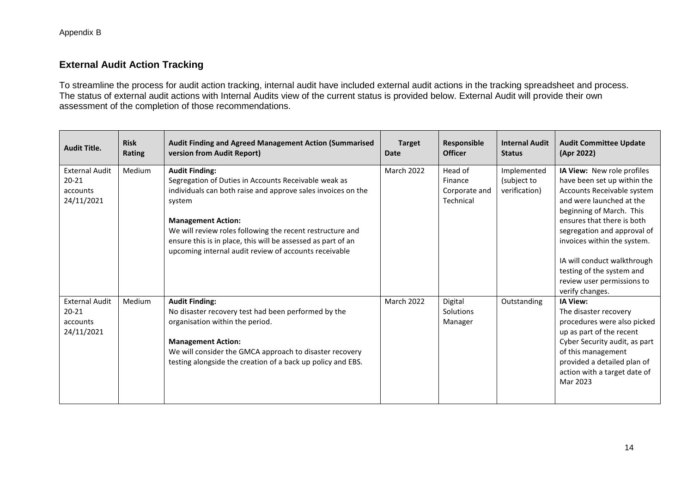#### **External Audit Action Tracking**

To streamline the process for audit action tracking, internal audit have included external audit actions in the tracking spreadsheet and process. The status of external audit actions with Internal Audits view of the current status is provided below. External Audit will provide their own assessment of the completion of those recommendations.

| <b>Audit Title.</b>                                          | <b>Risk</b><br>Rating | <b>Audit Finding and Agreed Management Action (Summarised</b><br>version from Audit Report)                                                                                                                                                                                                                                                                                | <b>Target</b><br><b>Date</b> | <b>Responsible</b><br><b>Officer</b>             | <b>Internal Audit</b><br><b>Status</b>      | <b>Audit Committee Update</b><br>(Apr 2022)                                                                                                                                                                                                                                                                                                              |
|--------------------------------------------------------------|-----------------------|----------------------------------------------------------------------------------------------------------------------------------------------------------------------------------------------------------------------------------------------------------------------------------------------------------------------------------------------------------------------------|------------------------------|--------------------------------------------------|---------------------------------------------|----------------------------------------------------------------------------------------------------------------------------------------------------------------------------------------------------------------------------------------------------------------------------------------------------------------------------------------------------------|
| <b>External Audit</b><br>$20 - 21$<br>accounts<br>24/11/2021 | Medium                | <b>Audit Finding:</b><br>Segregation of Duties in Accounts Receivable weak as<br>individuals can both raise and approve sales invoices on the<br>system<br><b>Management Action:</b><br>We will review roles following the recent restructure and<br>ensure this is in place, this will be assessed as part of an<br>upcoming internal audit review of accounts receivable | March 2022                   | Head of<br>Finance<br>Corporate and<br>Technical | Implemented<br>(subject to<br>verification) | IA View: New role profiles<br>have been set up within the<br>Accounts Receivable system<br>and were launched at the<br>beginning of March. This<br>ensures that there is both<br>segregation and approval of<br>invoices within the system.<br>IA will conduct walkthrough<br>testing of the system and<br>review user permissions to<br>verify changes. |
| <b>External Audit</b><br>$20 - 21$<br>accounts<br>24/11/2021 | Medium                | <b>Audit Finding:</b><br>No disaster recovery test had been performed by the<br>organisation within the period.<br><b>Management Action:</b><br>We will consider the GMCA approach to disaster recovery<br>testing alongside the creation of a back up policy and EBS.                                                                                                     | March 2022                   | Digital<br>Solutions<br>Manager                  | Outstanding                                 | <b>IA View:</b><br>The disaster recovery<br>procedures were also picked<br>up as part of the recent<br>Cyber Security audit, as part<br>of this management<br>provided a detailed plan of<br>action with a target date of<br>Mar 2023                                                                                                                    |